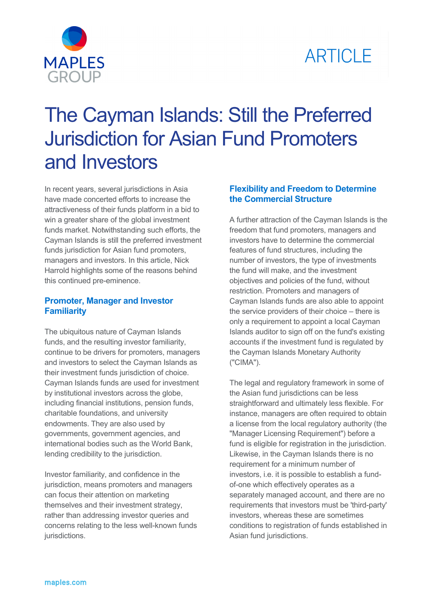



# The Cayman Islands: Still the Preferred Jurisdiction for Asian Fund Promoters and Investors

In recent years, several jurisdictions in Asia have made concerted efforts to increase the attractiveness of their funds platform in a bid to win a greater share of the global investment funds market. Notwithstanding such efforts, the Cayman Islands is still the preferred investment funds jurisdiction for Asian fund promoters, managers and investors. In this article, Nick Harrold highlights some of the reasons behind this continued pre-eminence.

# **Promoter, Manager and Investor Familiarity**

The ubiquitous nature of Cayman Islands funds, and the resulting investor familiarity, continue to be drivers for promoters, managers and investors to select the Cayman Islands as their investment funds jurisdiction of choice. Cayman Islands funds are used for investment by institutional investors across the globe, including financial institutions, pension funds, charitable foundations, and university endowments. They are also used by governments, government agencies, and international bodies such as the World Bank, lending credibility to the jurisdiction.

Investor familiarity, and confidence in the jurisdiction, means promoters and managers can focus their attention on marketing themselves and their investment strategy, rather than addressing investor queries and concerns relating to the less well-known funds jurisdictions.

# **Flexibility and Freedom to Determine the Commercial Structure**

A further attraction of the Cayman Islands is the freedom that fund promoters, managers and investors have to determine the commercial features of fund structures, including the number of investors, the type of investments the fund will make, and the investment objectives and policies of the fund, without restriction. Promoters and managers of Cayman Islands funds are also able to appoint the service providers of their choice – there is only a requirement to appoint a local Cayman Islands auditor to sign off on the fund's existing accounts if the investment fund is regulated by the Cayman Islands Monetary Authority ("CIMA").

The legal and regulatory framework in some of the Asian fund jurisdictions can be less straightforward and ultimately less flexible. For instance, managers are often required to obtain a license from the local regulatory authority (the "Manager Licensing Requirement") before a fund is eligible for registration in the jurisdiction. Likewise, in the Cayman Islands there is no requirement for a minimum number of investors, i.e. it is possible to establish a fundof-one which effectively operates as a separately managed account, and there are no requirements that investors must be 'third-party' investors, whereas these are sometimes conditions to registration of funds established in Asian fund jurisdictions.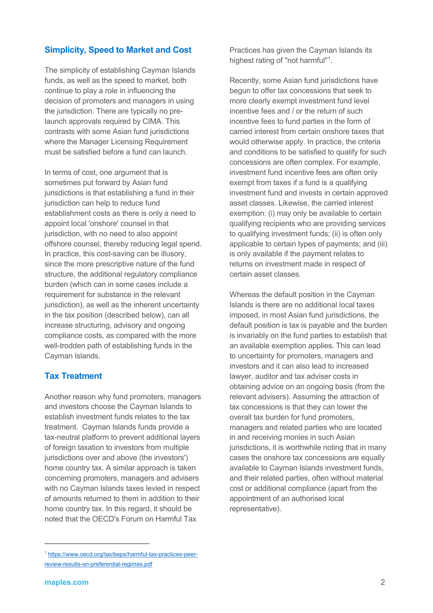# **Simplicity, Speed to Market and Cost**

The simplicity of establishing Cayman Islands funds, as well as the speed to market, both continue to play a role in influencing the decision of promoters and managers in using the jurisdiction. There are typically no prelaunch approvals required by CIMA. This contrasts with some Asian fund jurisdictions where the Manager Licensing Requirement must be satisfied before a fund can launch.

In terms of cost, one argument that is sometimes put forward by Asian fund jurisdictions is that establishing a fund in their jurisdiction can help to reduce fund establishment costs as there is only a need to appoint local 'onshore' counsel in that jurisdiction, with no need to also appoint offshore counsel, thereby reducing legal spend. In practice, this cost-saving can be illusory, since the more prescriptive nature of the fund structure, the additional regulatory compliance burden (which can in some cases include a requirement for substance in the relevant jurisdiction), as well as the inherent uncertainty in the tax position (described below), can all increase structuring, advisory and ongoing compliance costs, as compared with the more well-trodden path of establishing funds in the Cayman Islands.

## **Tax Treatment**

Another reason why fund promoters, managers and investors choose the Cayman Islands to establish investment funds relates to the tax treatment. Cayman Islands funds provide a tax-neutral platform to prevent additional layers of foreign taxation to investors from multiple jurisdictions over and above (the investors') home country tax. A similar approach is taken concerning promoters, managers and advisers with no Cayman Islands taxes levied in respect of amounts returned to them in addition to their home country tax. In this regard, it should be noted that the OECD's Forum on Harmful Tax

Practices has given the Cayman Islands its highest rating of "not harmful["1](#page-1-0).

Recently, some Asian fund jurisdictions have begun to offer tax concessions that seek to more clearly exempt investment fund level incentive fees and / or the return of such incentive fees to fund parties in the form of carried interest from certain onshore taxes that would otherwise apply. In practice, the criteria and conditions to be satisfied to qualify for such concessions are often complex. For example, investment fund incentive fees are often only exempt from taxes if a fund is a qualifying investment fund and invests in certain approved asset classes. Likewise, the carried interest exemption: (i) may only be available to certain qualifying recipients who are providing services to qualifying investment funds; (ii) is often only applicable to certain types of payments; and (iii) is only available if the payment relates to returns on investment made in respect of certain asset classes.

Whereas the default position in the Cayman Islands is there are no additional local taxes imposed, in most Asian fund jurisdictions, the default position is tax is payable and the burden is invariably on the fund parties to establish that an available exemption applies. This can lead to uncertainty for promoters, managers and investors and it can also lead to increased lawyer, auditor and tax adviser costs in obtaining advice on an ongoing basis (from the relevant advisers). Assuming the attraction of tax concessions is that they can lower the overall tax burden for fund promoters, managers and related parties who are located in and receiving monies in such Asian jurisdictions, it is worthwhile noting that in many cases the onshore tax concessions are equally available to Cayman Islands investment funds, and their related parties, often without material cost or additional compliance (apart from the appointment of an authorised local representative).

 $\overline{a}$ 

<span id="page-1-0"></span><sup>1</sup> [https://www.oecd.org/tax/beps/harmful-tax-practices-peer](https://www.oecd.org/tax/beps/harmful-tax-practices-peer-review-results-on-preferential-regimes.pdf)[review-results-on-preferential-regimes.pdf](https://www.oecd.org/tax/beps/harmful-tax-practices-peer-review-results-on-preferential-regimes.pdf)